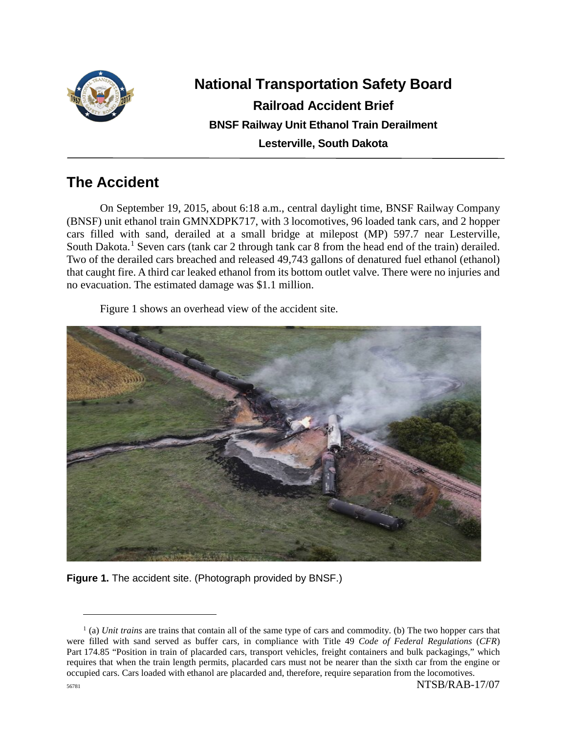

# **National Transportation Safety Board Railroad Accident Brief BNSF Railway Unit Ethanol Train Derailment Lesterville, South Dakota**

# **The Accident**

On September 19, 2015, about 6:18 a.m., central daylight time, BNSF Railway Company (BNSF) unit ethanol train GMNXDPK717, with 3 locomotives, 96 loaded tank cars, and 2 hopper cars filled with sand, derailed at a small bridge at milepost (MP) 597.7 near Lesterville, South Dakota.<sup>[1](#page-0-0)</sup> Seven cars (tank car 2 through tank car 8 from the head end of the train) derailed. Two of the derailed cars breached and released 49,743 gallons of denatured fuel ethanol (ethanol) that caught fire. A third car leaked ethanol from its bottom outlet valve. There were no injuries and no evacuation. The estimated damage was \$1.1 million.

Figure 1 shows an overhead view of the accident site.



**Figure 1.** The accident site. (Photograph provided by BNSF.)

<span id="page-0-0"></span><sup>56781</sup> NTSB/RAB-17/07 <sup>1</sup> (a) *Unit trains* are trains that contain all of the same type of cars and commodity. (b) The two hopper cars that were filled with sand served as buffer cars, in compliance with Title 49 *Code of Federal Regulations* (*CFR*) Part 174.85 "Position in train of placarded cars, transport vehicles, freight containers and bulk packagings," which requires that when the train length permits, placarded cars must not be nearer than the sixth car from the engine or occupied cars. Cars loaded with ethanol are placarded and, therefore, require separation from the locomotives.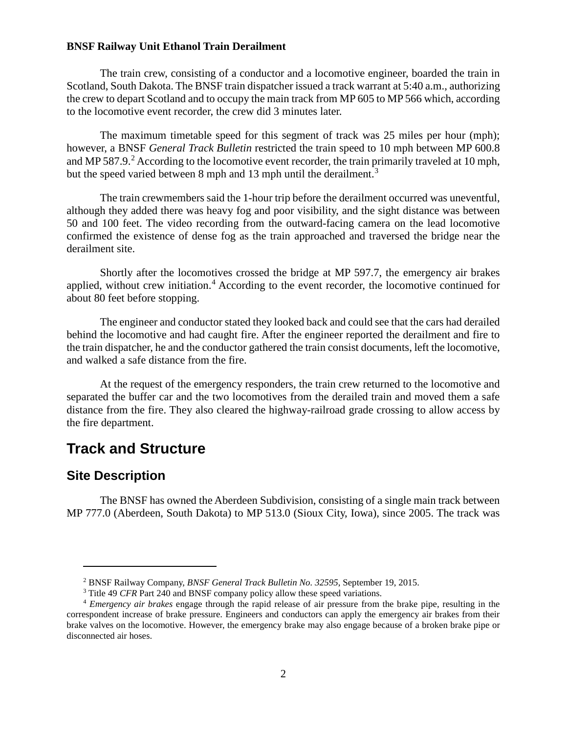The train crew, consisting of a conductor and a locomotive engineer, boarded the train in Scotland, South Dakota. The BNSF train dispatcher issued a track warrant at 5:40 a.m., authorizing the crew to depart Scotland and to occupy the main track from MP 605 to MP 566 which, according to the locomotive event recorder, the crew did 3 minutes later.

The maximum timetable speed for this segment of track was 25 miles per hour (mph); however, a BNSF *General Track Bulletin* restricted the train speed to 10 mph between MP 600.8 and MP 587.9.<sup>[2](#page-1-0)</sup> According to the locomotive event recorder, the train primarily traveled at 10 mph, but the speed varied between 8 mph and 1[3](#page-1-1) mph until the derailment.<sup>3</sup>

The train crewmembers said the 1-hour trip before the derailment occurred was uneventful, although they added there was heavy fog and poor visibility, and the sight distance was between 50 and 100 feet. The video recording from the outward-facing camera on the lead locomotive confirmed the existence of dense fog as the train approached and traversed the bridge near the derailment site.

Shortly after the locomotives crossed the bridge at MP 597.7, the emergency air brakes applied, without crew initiation.<sup>[4](#page-1-2)</sup> According to the event recorder, the locomotive continued for about 80 feet before stopping.

The engineer and conductor stated they looked back and could see that the cars had derailed behind the locomotive and had caught fire. After the engineer reported the derailment and fire to the train dispatcher, he and the conductor gathered the train consist documents, left the locomotive, and walked a safe distance from the fire.

At the request of the emergency responders, the train crew returned to the locomotive and separated the buffer car and the two locomotives from the derailed train and moved them a safe distance from the fire. They also cleared the highway-railroad grade crossing to allow access by the fire department.

## **Track and Structure**

### **Site Description**

 $\overline{a}$ 

The BNSF has owned the Aberdeen Subdivision, consisting of a single main track between MP 777.0 (Aberdeen, South Dakota) to MP 513.0 (Sioux City, Iowa), since 2005. The track was

<sup>2</sup> BNSF Railway Company, *BNSF General Track Bulletin No. 32595*, September 19, 2015.

<sup>&</sup>lt;sup>3</sup> Title 49 *CFR* Part 240 and BNSF company policy allow these speed variations.

<span id="page-1-2"></span><span id="page-1-1"></span><span id="page-1-0"></span><sup>4</sup> *Emergency air brakes* engage through the rapid release of air pressure from the brake pipe, resulting in the correspondent increase of brake pressure. Engineers and conductors can apply the emergency air brakes from their brake valves on the locomotive. However, the emergency brake may also engage because of a broken brake pipe or disconnected air hoses.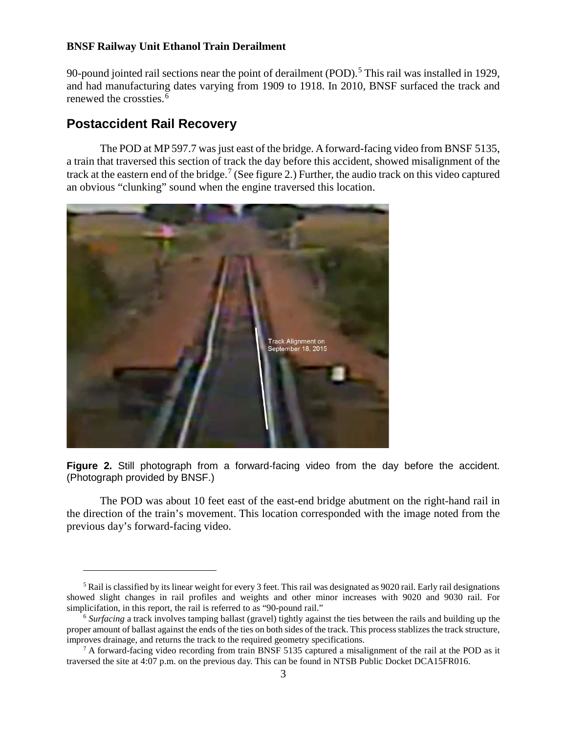90-pound jointed rail sections near the point of derailment (POD).<sup>[5](#page-2-0)</sup> This rail was installed in 1929, and had manufacturing dates varying from 1909 to 1918. In 2010, BNSF surfaced the track and renewed the crossties. [6](#page-2-1)

## **Postaccident Rail Recovery**

 $\overline{a}$ 

The POD at MP 597.7 was just east of the bridge. Aforward-facing video from BNSF 5135, a train that traversed this section of track the day before this accident, showed misalignment of the track at the eastern end of the bridge.<sup>[7](#page-2-2)</sup> (See figure 2.) Further, the audio track on this video captured an obvious "clunking" sound when the engine traversed this location.



**Figure 2.** Still photograph from a forward-facing video from the day before the accident. (Photograph provided by BNSF.)

The POD was about 10 feet east of the east-end bridge abutment on the right-hand rail in the direction of the train's movement. This location corresponded with the image noted from the previous day's forward-facing video.

<span id="page-2-0"></span><sup>&</sup>lt;sup>5</sup> Rail is classified by its linear weight for every 3 feet. This rail was designated as 9020 rail. Early rail designations showed slight changes in rail profiles and weights and other minor increases with 9020 and 9030 rail. For simplicifation, in this report, the rail is referred to as "90-pound rail."

<span id="page-2-1"></span><sup>6</sup> *Surfacing* a track involves tamping ballast (gravel) tightly against the ties between the rails and building up the proper amount of ballast against the ends of the ties on both sides of the track. This process stablizes the track structure, improves drainage, and returns the track to the required geometry specifications.

<span id="page-2-2"></span> $7 A$  forward-facing video recording from train BNSF 5135 captured a misalignment of the rail at the POD as it traversed the site at 4:07 p.m. on the previous day. This can be found in NTSB Public Docket DCA15FR016.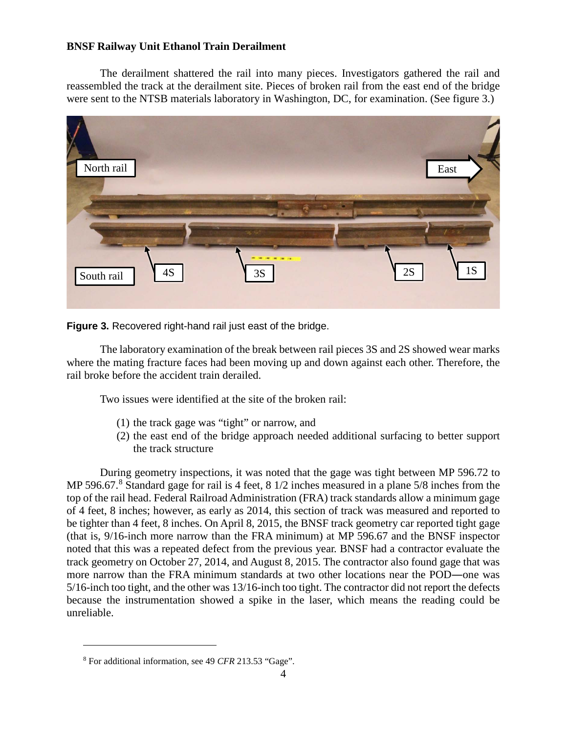The derailment shattered the rail into many pieces. Investigators gathered the rail and reassembled the track at the derailment site. Pieces of broken rail from the east end of the bridge were sent to the NTSB materials laboratory in Washington, DC, for examination. (See figure 3.)



**Figure 3.** Recovered right-hand rail just east of the bridge.

The laboratory examination of the break between rail pieces 3S and 2S showed wear marks where the mating fracture faces had been moving up and down against each other. Therefore, the rail broke before the accident train derailed.

Two issues were identified at the site of the broken rail:

- (1) the track gage was "tight" or narrow, and
- (2) the east end of the bridge approach needed additional surfacing to better support the track structure

During geometry inspections, it was noted that the gage was tight between MP 596.72 to MP 596.67.<sup>[8](#page-3-0)</sup> Standard gage for rail is 4 feet, 8 1/2 inches measured in a plane 5/8 inches from the top of the rail head. Federal Railroad Administration (FRA) track standards allow a minimum gage of 4 feet, 8 inches; however, as early as 2014, this section of track was measured and reported to be tighter than 4 feet, 8 inches. On April 8, 2015, the BNSF track geometry car reported tight gage (that is, 9/16-inch more narrow than the FRA minimum) at MP 596.67 and the BNSF inspector noted that this was a repeated defect from the previous year. BNSF had a contractor evaluate the track geometry on October 27, 2014, and August 8, 2015. The contractor also found gage that was more narrow than the FRA minimum standards at two other locations near the POD―one was 5/16-inch too tight, and the other was 13/16-inch too tight. The contractor did not report the defects because the instrumentation showed a spike in the laser, which means the reading could be unreliable.

<span id="page-3-0"></span><sup>8</sup> For additional information, see 49 *CFR* 213.53 "Gage".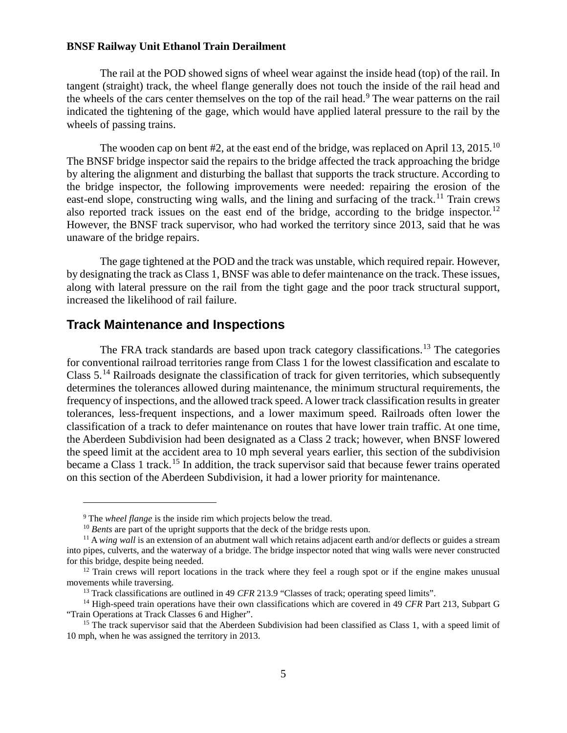The rail at the POD showed signs of wheel wear against the inside head (top) of the rail. In tangent (straight) track, the wheel flange generally does not touch the inside of the rail head and the wheels of the cars center themselves on the top of the rail head.<sup>[9](#page-4-0)</sup> The wear patterns on the rail indicated the tightening of the gage, which would have applied lateral pressure to the rail by the wheels of passing trains.

The wooden cap on bent #2, at the east end of the bridge, was replaced on April 13, 2015.<sup>[10](#page-4-1)</sup> The BNSF bridge inspector said the repairs to the bridge affected the track approaching the bridge by altering the alignment and disturbing the ballast that supports the track structure. According to the bridge inspector, the following improvements were needed: repairing the erosion of the east-end slope, constructing wing walls, and the lining and surfacing of the track.<sup>[11](#page-4-2)</sup> Train crews also reported track issues on the east end of the bridge, according to the bridge inspector.<sup>[12](#page-4-3)</sup> However, the BNSF track supervisor, who had worked the territory since 2013, said that he was unaware of the bridge repairs.

The gage tightened at the POD and the track was unstable, which required repair. However, by designating the track as Class 1, BNSF was able to defer maintenance on the track. These issues, along with lateral pressure on the rail from the tight gage and the poor track structural support, increased the likelihood of rail failure.

#### **Track Maintenance and Inspections**

 $\overline{a}$ 

The FRA track standards are based upon track category classifications.<sup>[13](#page-4-4)</sup> The categories for conventional railroad territories range from Class 1 for the lowest classification and escalate to Class 5.<sup>[14](#page-4-5)</sup> Railroads designate the classification of track for given territories, which subsequently determines the tolerances allowed during maintenance, the minimum structural requirements, the frequency of inspections, and the allowed track speed. A lower track classification results in greater tolerances, less-frequent inspections, and a lower maximum speed. Railroads often lower the classification of a track to defer maintenance on routes that have lower train traffic. At one time, the Aberdeen Subdivision had been designated as a Class 2 track; however, when BNSF lowered the speed limit at the accident area to 10 mph several years earlier, this section of the subdivision became a Class 1 track.<sup>[15](#page-4-6)</sup> In addition, the track supervisor said that because fewer trains operated on this section of the Aberdeen Subdivision, it had a lower priority for maintenance.

<sup>&</sup>lt;sup>9</sup> The *wheel flange* is the inside rim which projects below the tread.

<sup>&</sup>lt;sup>10</sup> *Bents* are part of the upright supports that the deck of the bridge rests upon.

<span id="page-4-2"></span><span id="page-4-1"></span><span id="page-4-0"></span><sup>&</sup>lt;sup>11</sup> A *wing wall* is an extension of an abutment wall which retains adjacent earth and/or deflects or guides a stream into pipes, culverts, and the waterway of a bridge. The bridge inspector noted that wing walls were never constructed for this bridge, despite being needed.

<span id="page-4-3"></span> $12$  Train crews will report locations in the track where they feel a rough spot or if the engine makes unusual movements while traversing.

<sup>&</sup>lt;sup>13</sup> Track classifications are outlined in 49 *CFR* 213.9 "Classes of track; operating speed limits".

<span id="page-4-5"></span><span id="page-4-4"></span><sup>14</sup> High-speed train operations have their own classifications which are covered in 49 *CFR* Part 213, Subpart G "Train Operations at Track Classes 6 and Higher".

<span id="page-4-6"></span><sup>&</sup>lt;sup>15</sup> The track supervisor said that the Aberdeen Subdivision had been classified as Class 1, with a speed limit of 10 mph, when he was assigned the territory in 2013.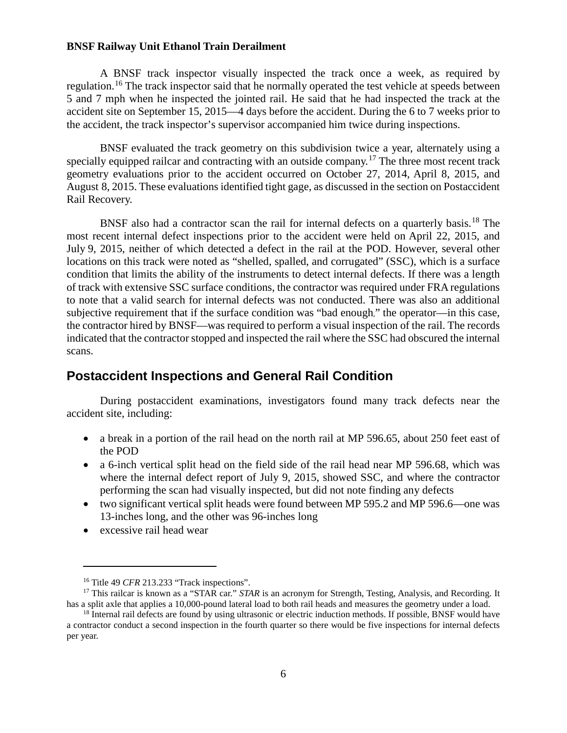A BNSF track inspector visually inspected the track once a week, as required by regulation.<sup>[16](#page-5-0)</sup> The track inspector said that he normally operated the test vehicle at speeds between 5 and 7 mph when he inspected the jointed rail. He said that he had inspected the track at the accident site on September 15, 2015—4 days before the accident. During the 6 to 7 weeks prior to the accident, the track inspector's supervisor accompanied him twice during inspections.

BNSF evaluated the track geometry on this subdivision twice a year, alternately using a specially equipped railcar and contracting with an outside company.<sup>[17](#page-5-1)</sup> The three most recent track geometry evaluations prior to the accident occurred on October 27, 2014, April 8, 2015, and August 8, 2015. These evaluations identified tight gage, as discussed in the section on Postaccident Rail Recovery.

BNSF also had a contractor scan the rail for internal defects on a quarterly basis.<sup>[18](#page-5-2)</sup> The most recent internal defect inspections prior to the accident were held on April 22, 2015, and July 9, 2015, neither of which detected a defect in the rail at the POD. However, several other locations on this track were noted as "shelled, spalled, and corrugated" (SSC), which is a surface condition that limits the ability of the instruments to detect internal defects. If there was a length of track with extensive SSC surface conditions, the contractor was required under FRA regulations to note that a valid search for internal defects was not conducted. There was also an additional subjective requirement that if the surface condition was "bad enough," the operator—in this case, the contractor hired by BNSF—was required to perform a visual inspection of the rail. The records indicated that the contractor stopped and inspected the rail where the SSC had obscured the internal scans.

### **Postaccident Inspections and General Rail Condition**

During postaccident examinations, investigators found many track defects near the accident site, including:

- a break in a portion of the rail head on the north rail at MP 596.65, about 250 feet east of the POD
- a 6-inch vertical split head on the field side of the rail head near MP 596.68, which was where the internal defect report of July 9, 2015, showed SSC, and where the contractor performing the scan had visually inspected, but did not note finding any defects
- two significant vertical split heads were found between MP 595.2 and MP 596.6—one was 13-inches long, and the other was 96-inches long
- excessive rail head wear

<sup>&</sup>lt;sup>16</sup> Title 49 *CFR* 213.233 "Track inspections".

<span id="page-5-1"></span><span id="page-5-0"></span><sup>&</sup>lt;sup>17</sup> This railcar is known as a "STAR car." *STAR* is an acronym for Strength, Testing, Analysis, and Recording. It has a split axle that applies a 10,000-pound lateral load to both rail heads and measures the geometry under a load.

<span id="page-5-2"></span><sup>&</sup>lt;sup>18</sup> Internal rail defects are found by using ultrasonic or electric induction methods. If possible, BNSF would have a contractor conduct a second inspection in the fourth quarter so there would be five inspections for internal defects per year.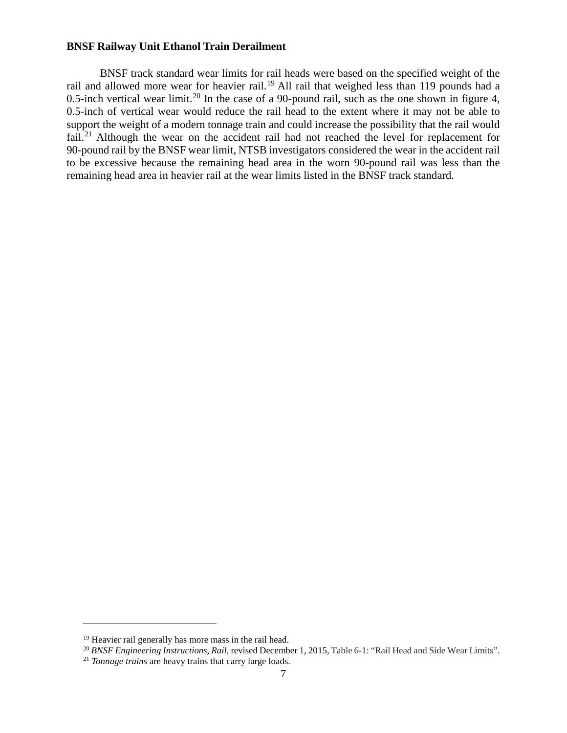BNSF track standard wear limits for rail heads were based on the specified weight of the rail and allowed more wear for heavier rail.<sup>[19](#page-6-0)</sup> All rail that weighed less than 119 pounds had a 0.5-inch vertical wear limit.<sup>[20](#page-6-1)</sup> In the case of a 90-pound rail, such as the one shown in figure 4, 0.5-inch of vertical wear would reduce the rail head to the extent where it may not be able to support the weight of a modern tonnage train and could increase the possibility that the rail would fail.<sup>[21](#page-6-2)</sup> Although the wear on the accident rail had not reached the level for replacement for 90-pound rail by the BNSF wear limit, NTSB investigators considered the wear in the accident rail to be excessive because the remaining head area in the worn 90-pound rail was less than the remaining head area in heavier rail at the wear limits listed in the BNSF track standard.

<span id="page-6-0"></span><sup>&</sup>lt;sup>19</sup> Heavier rail generally has more mass in the rail head.

<sup>&</sup>lt;sup>20</sup> BNSF Engineering Instructions, Rail, revised December 1, 2015, Table 6-1: "Rail Head and Side Wear Limits".

<span id="page-6-2"></span><span id="page-6-1"></span><sup>21</sup> *Tonnage trains* are heavy trains that carry large loads.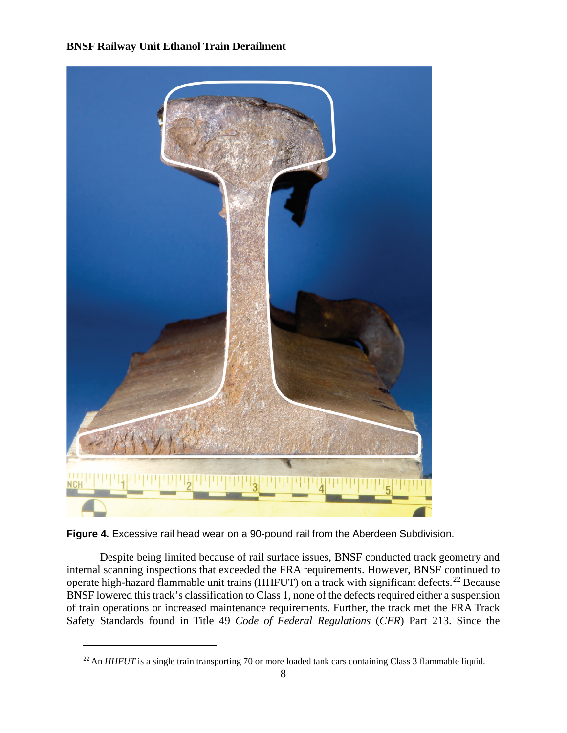

**Figure 4.** Excessive rail head wear on a 90-pound rail from the Aberdeen Subdivision.

 $\overline{a}$ 

Despite being limited because of rail surface issues, BNSF conducted track geometry and internal scanning inspections that exceeded the FRA requirements. However, BNSF continued to operate high-hazard flammable unit trains (HHFUT) on a track with significant defects.<sup>[22](#page-7-0)</sup> Because BNSF lowered this track's classification to Class 1, none of the defects required either a suspension of train operations or increased maintenance requirements. Further, the track met the FRA Track Safety Standards found in Title 49 *Code of Federal Regulations* (*CFR*) Part 213. Since the

<span id="page-7-0"></span><sup>&</sup>lt;sup>22</sup> An *HHFUT* is a single train transporting 70 or more loaded tank cars containing Class 3 flammable liquid.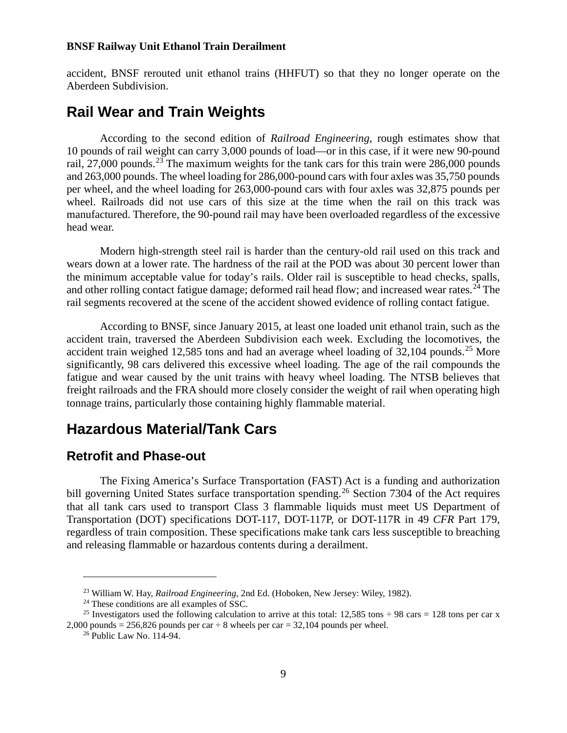accident, BNSF rerouted unit ethanol trains (HHFUT) so that they no longer operate on the Aberdeen Subdivision.

## **Rail Wear and Train Weights**

According to the second edition of *Railroad Engineering*, rough estimates show that 10 pounds of rail weight can carry 3,000 pounds of load—or in this case, if it were new 90-pound rail, 27,000 pounds.<sup>[23](#page-8-0)</sup> The maximum weights for the tank cars for this train were 286,000 pounds and 263,000 pounds. The wheel loading for 286,000-pound cars with four axles was 35,750 pounds per wheel, and the wheel loading for 263,000-pound cars with four axles was 32,875 pounds per wheel. Railroads did not use cars of this size at the time when the rail on this track was manufactured. Therefore, the 90-pound rail may have been overloaded regardless of the excessive head wear.

Modern high-strength steel rail is harder than the century-old rail used on this track and wears down at a lower rate. The hardness of the rail at the POD was about 30 percent lower than the minimum acceptable value for today's rails. Older rail is susceptible to head checks, spalls, and other rolling contact fatigue damage; deformed rail head flow; and increased wear rates.<sup>[24](#page-8-1)</sup> The rail segments recovered at the scene of the accident showed evidence of rolling contact fatigue.

According to BNSF, since January 2015, at least one loaded unit ethanol train, such as the accident train, traversed the Aberdeen Subdivision each week. Excluding the locomotives, the accident train weighed 12,585 tons and had an average wheel loading of 32,104 pounds.<sup>[25](#page-8-2)</sup> More significantly, 98 cars delivered this excessive wheel loading. The age of the rail compounds the fatigue and wear caused by the unit trains with heavy wheel loading. The NTSB believes that freight railroads and the FRA should more closely consider the weight of rail when operating high tonnage trains, particularly those containing highly flammable material.

## **Hazardous Material/Tank Cars**

### **Retrofit and Phase-out**

The Fixing America's Surface Transportation (FAST) Act is a funding and authorization bill governing United States surface transportation spending.<sup>[26](#page-8-3)</sup> Section 7304 of the Act requires that all tank cars used to transport Class 3 flammable liquids must meet US Department of Transportation (DOT) specifications DOT-117, DOT-117P, or DOT-117R in 49 *CFR* Part 179, regardless of train composition. These specifications make tank cars less susceptible to breaching and releasing flammable or hazardous contents during a derailment.

<sup>23</sup> William W. Hay, *Railroad Engineering*, 2nd Ed. (Hoboken, New Jersey: Wiley, 1982).

<sup>&</sup>lt;sup>24</sup> These conditions are all examples of SSC.

<span id="page-8-3"></span><span id="page-8-2"></span><span id="page-8-1"></span><span id="page-8-0"></span><sup>&</sup>lt;sup>25</sup> Investigators used the following calculation to arrive at this total: 12,585 tons  $\div$  98 cars = 128 tons per car x 2,000 pounds = 256,826 pounds per car  $\div$  8 wheels per car = 32,104 pounds per wheel.

<sup>26</sup> Public Law No. 114-94.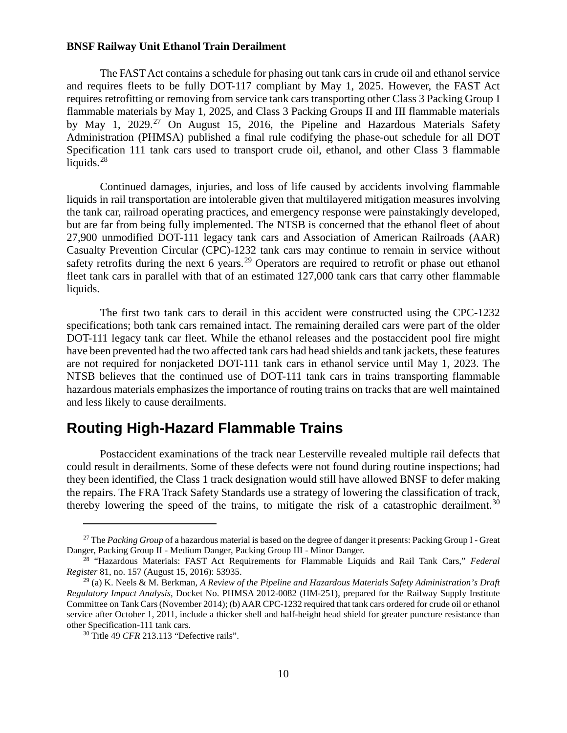The FAST Act contains a schedule for phasing out tank cars in crude oil and ethanol service and requires fleets to be fully DOT-117 compliant by May 1, 2025. However, the FAST Act requires retrofitting or removing from service tank cars transporting other Class 3 Packing Group I flammable materials by May 1, 2025, and Class 3 Packing Groups II and III flammable materials by May 1, 2029.<sup>[27](#page-9-0)</sup> On August 15, 2016, the Pipeline and Hazardous Materials Safety Administration (PHMSA) published a final rule codifying the phase-out schedule for all DOT Specification 111 tank cars used to transport crude oil, ethanol, and other Class 3 flammable liquids.<sup>[28](#page-9-1)</sup>

Continued damages, injuries, and loss of life caused by accidents involving flammable liquids in rail transportation are intolerable given that multilayered mitigation measures involving the tank car, railroad operating practices, and emergency response were painstakingly developed, but are far from being fully implemented. The NTSB is concerned that the ethanol fleet of about 27,900 unmodified DOT-111 legacy tank cars and Association of American Railroads (AAR) Casualty Prevention Circular (CPC)-1232 tank cars may continue to remain in service without safety retrofits during the next 6 years.<sup>[29](#page-9-2)</sup> Operators are required to retrofit or phase out ethanol fleet tank cars in parallel with that of an estimated 127,000 tank cars that carry other flammable liquids.

The first two tank cars to derail in this accident were constructed using the CPC-1232 specifications; both tank cars remained intact. The remaining derailed cars were part of the older DOT-111 legacy tank car fleet. While the ethanol releases and the postaccident pool fire might have been prevented had the two affected tank cars had head shields and tank jackets, these features are not required for nonjacketed DOT-111 tank cars in ethanol service until May 1, 2023. The NTSB believes that the continued use of DOT-111 tank cars in trains transporting flammable hazardous materials emphasizes the importance of routing trains on tracks that are well maintained and less likely to cause derailments.

## **Routing High-Hazard Flammable Trains**

Postaccident examinations of the track near Lesterville revealed multiple rail defects that could result in derailments. Some of these defects were not found during routine inspections; had they been identified, the Class 1 track designation would still have allowed BNSF to defer making the repairs. The FRA Track Safety Standards use a strategy of lowering the classification of track, thereby lowering the speed of the trains, to mitigate the risk of a catastrophic derailment.<sup>[30](#page-9-3)</sup>

<span id="page-9-0"></span><sup>27</sup> The *Packing Group* of a hazardous material is based on the degree of danger it presents: Packing Group I - Great Danger, Packing Group II - Medium Danger, Packing Group III - Minor Danger.

<span id="page-9-1"></span><sup>28</sup> "Hazardous Materials: FAST Act Requirements for Flammable Liquids and Rail Tank Cars," *Federal Register* 81, no. 157 (August 15, 2016): 53935.

<span id="page-9-2"></span><sup>29</sup> (a) K. Neels & M. Berkman, *A Review of the Pipeline and Hazardous Materials Safety Administration's Draft Regulatory Impact Analysis*, Docket No. PHMSA 2012-0082 (HM-251), prepared for the Railway Supply Institute Committee on Tank Cars (November 2014); (b) AAR CPC-1232 required that tank cars ordered for crude oil or ethanol service after October 1, 2011, include a thicker shell and half-height head shield for greater puncture resistance than other Specification-111 tank cars.

<span id="page-9-3"></span><sup>30</sup> Title 49 *CFR* 213.113 "Defective rails".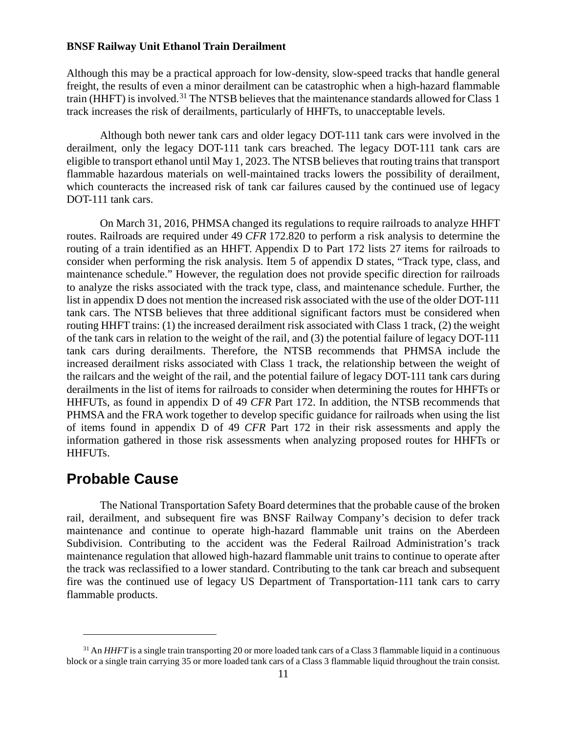Although this may be a practical approach for low-density, slow-speed tracks that handle general freight, the results of even a minor derailment can be catastrophic when a high-hazard flammable train (HHFT) is involved.<sup>[31](#page-10-0)</sup> The NTSB believes that the maintenance standards allowed for Class 1 track increases the risk of derailments, particularly of HHFTs, to unacceptable levels.

Although both newer tank cars and older legacy DOT-111 tank cars were involved in the derailment, only the legacy DOT-111 tank cars breached. The legacy DOT-111 tank cars are eligible to transport ethanol until May 1, 2023. The NTSB believes that routing trains that transport flammable hazardous materials on well-maintained tracks lowers the possibility of derailment, which counteracts the increased risk of tank car failures caused by the continued use of legacy DOT-111 tank cars.

On March 31, 2016, PHMSA changed its regulations to require railroads to analyze HHFT routes. Railroads are required under 49 *CFR* 172.820 to perform a risk analysis to determine the routing of a train identified as an HHFT. [Appendix D to Part 172](http://www.ecfr.gov/cgi-bin/text-idx?SID=80ed3346167bd6b329148157bb32a9a1&mc=true&node=ap49.2.172_1822.d&rgn=div9) lists 27 items for railroads to consider when performing the risk analysis. Item 5 of appendix D states, "Track type, class, and maintenance schedule." However, the regulation does not provide specific direction for railroads to analyze the risks associated with the track type, class, and maintenance schedule. Further, the list in appendix D does not mention the increased risk associated with the use of the older DOT-111 tank cars. The NTSB believes that three additional significant factors must be considered when routing HHFT trains: (1) the increased derailment risk associated with Class 1 track, (2) the weight of the tank cars in relation to the weight of the rail, and (3) the potential failure of legacy DOT-111 tank cars during derailments. Therefore, the NTSB recommends that PHMSA include the increased derailment risks associated with Class 1 track, the relationship between the weight of the railcars and the weight of the rail, and the potential failure of legacy DOT-111 tank cars during derailments in the list of items for railroads to consider when determining the routes for HHFTs or HHFUTs, as found in appendix D of 49 *CFR* Part 172. In addition, the NTSB recommends that PHMSA and the FRA work together to develop specific guidance for railroads when using the list of items found in appendix D of 49 *CFR* Part 172 in their risk assessments and apply the information gathered in those risk assessments when analyzing proposed routes for HHFTs or HHFUTs.

## **Probable Cause**

 $\overline{a}$ 

The National Transportation Safety Board determines that the probable cause of the broken rail, derailment, and subsequent fire was BNSF Railway Company's decision to defer track maintenance and continue to operate high-hazard flammable unit trains on the Aberdeen Subdivision. Contributing to the accident was the Federal Railroad Administration's track maintenance regulation that allowed high-hazard flammable unit trains to continue to operate after the track was reclassified to a lower standard. Contributing to the tank car breach and subsequent fire was the continued use of legacy US Department of Transportation-111 tank cars to carry flammable products.

<span id="page-10-0"></span><sup>&</sup>lt;sup>31</sup> An *HHFT* is a single train transporting 20 or more loaded tank cars of a Class 3 flammable liquid in a continuous block or a single train carrying 35 or more loaded tank cars of a Class 3 flammable liquid throughout the train consist.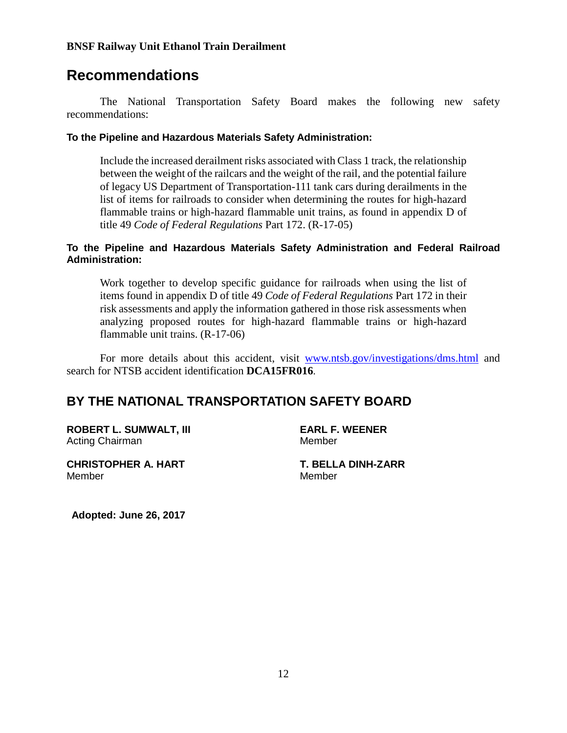## **Recommendations**

The National Transportation Safety Board makes the following new safety recommendations:

#### **To the Pipeline and Hazardous Materials Safety Administration:**

Include the increased derailment risks associated with Class 1 track, the relationship between the weight of the railcars and the weight of the rail, and the potential failure of legacy US Department of Transportation-111 tank cars during derailments in the list of items for railroads to consider when determining the routes for high-hazard flammable trains or high-hazard flammable unit trains, as found in appendix D of title 49 *Code of Federal Regulations* Part 172. (R-17-05)

#### **To the Pipeline and Hazardous Materials Safety Administration and Federal Railroad Administration:**

Work together to develop specific guidance for railroads when using the list of items found in appendix D of title 49 *Code of Federal Regulations* Part 172 in their risk assessments and apply the information gathered in those risk assessments when analyzing proposed routes for high-hazard flammable trains or high-hazard flammable unit trains. (R-17-06)

For more details about this accident, visit [www.ntsb.gov/investigations/dms.html](http://www.ntsb.gov/investigations/dms.html) and search for NTSB accident identification **DCA15FR016**.

## **BY THE NATIONAL TRANSPORTATION SAFETY BOARD**

**ROBERT L. SUMWALT, III EARL F. WEENER** Acting Chairman Member

**CHRISTOPHER A. HART T. BELLA DINH-ZARR** Member Member

**Adopted: June 26, 2017**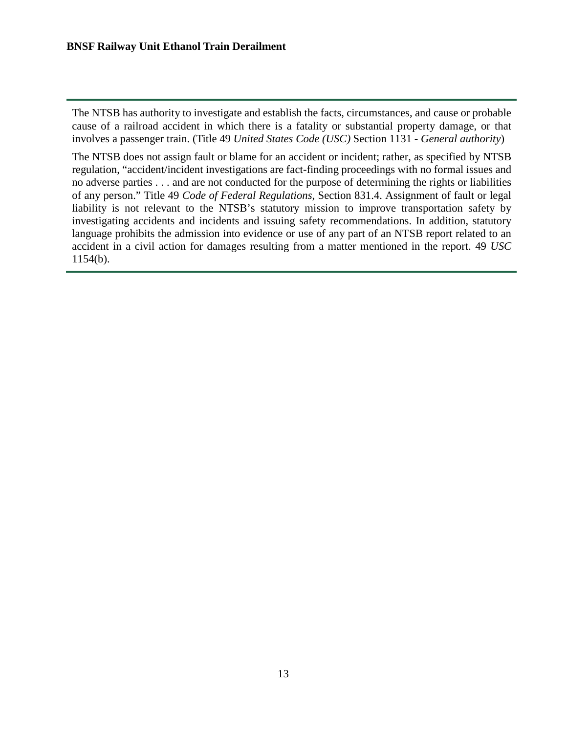The NTSB has authority to investigate and establish the facts, circumstances, and cause or probable cause of a railroad accident in which there is a fatality or substantial property damage, or that involves a passenger train. (Title 49 *United States Code (USC)* Section 1131 - *General authority*)

The NTSB does not assign fault or blame for an accident or incident; rather, as specified by NTSB regulation, "accident/incident investigations are fact-finding proceedings with no formal issues and no adverse parties . . . and are not conducted for the purpose of determining the rights or liabilities of any person." Title 49 *Code of Federal Regulations*, Section 831.4. Assignment of fault or legal liability is not relevant to the NTSB's statutory mission to improve transportation safety by investigating accidents and incidents and issuing safety recommendations. In addition, statutory language prohibits the admission into evidence or use of any part of an NTSB report related to an accident in a civil action for damages resulting from a matter mentioned in the report. 49 *USC* 1154(b).